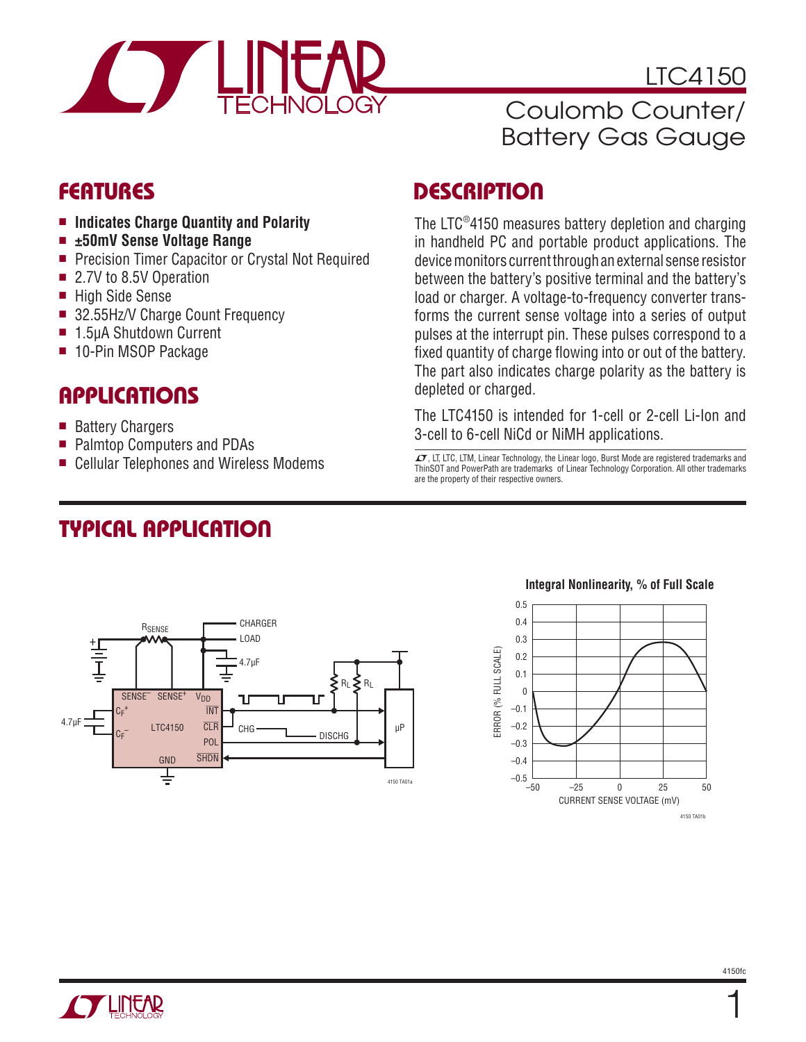

LTC4150

## Coulomb Counter/ Battery Gas Gauge

### **FEATURES**

- Indicates Charge Quantity and Polarity
- <sup>n</sup> **±50mV Sense Voltage Range**
- Precision Timer Capacitor or Crystal Not Required
- 2.7V to 8.5V Operation
- High Side Sense
- 32.55Hz/V Charge Count Frequency
- 1.5µA Shutdown Current
- 10-Pin MSOP Package

### **APPLICATIONS**

- Battery Chargers
- Palmtop Computers and PDAs
- Cellular Telephones and Wireless Modems

# **TYPICAL APPLICATION**

## **DESCRIPTION**

The LTC®4150 measures battery depletion and charging in handheld PC and portable product applications. The device monitors current through an external sense resistor between the battery's positive terminal and the battery's load or charger. A voltage-to-frequency converter transforms the current sense voltage into a series of output pulses at the interrupt pin. These pulses correspond to a fixed quantity of charge flowing into or out of the battery. The part also indicates charge polarity as the battery is depleted or charged.

The LTC4150 is intended for 1-cell or 2-cell Li-Ion and 3-cell to 6-cell NiCd or NiMH applications.

 $LT$ , LT, LTC, LTM, Linear Technology, the Linear logo, Burst Mode are registered trademarks and ThinSOT and PowerPath are trademarks of Linear Technology Corporation. All other trademarks are the property of their respective owners.



#### **Integral Nonlinearity, % of Full Scale**

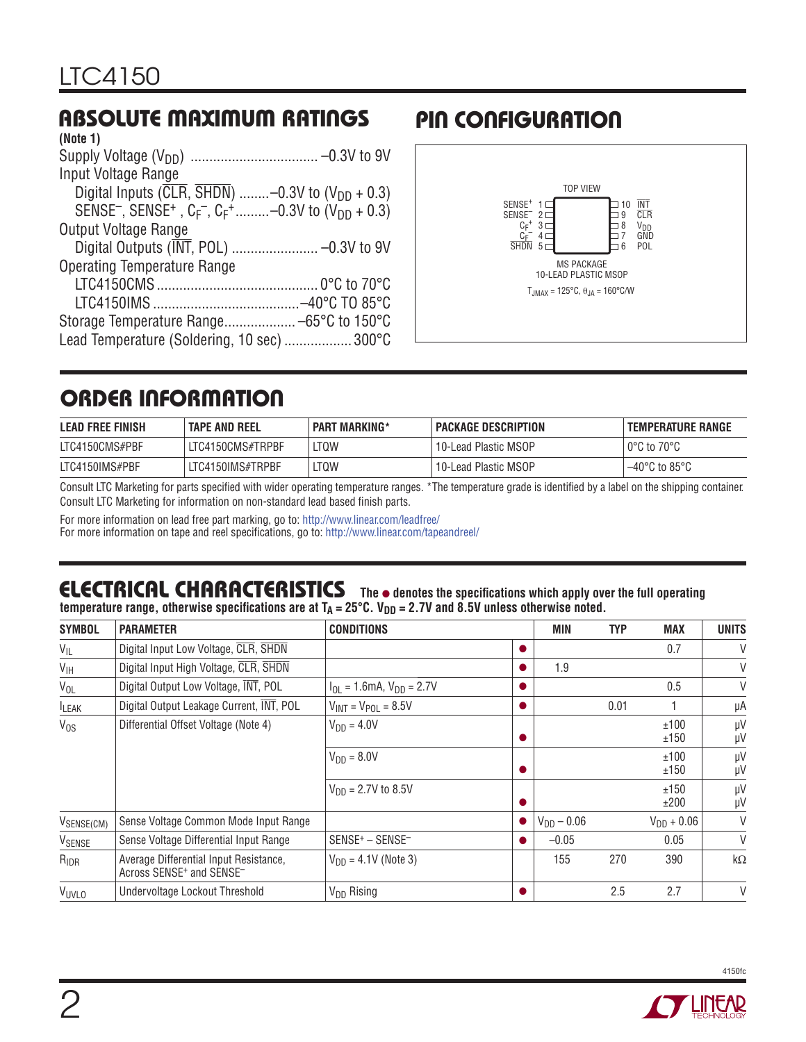## **ABSOLUTE MAXIMUM RATINGS**

| (Note 1)                                                                                                                      |  |
|-------------------------------------------------------------------------------------------------------------------------------|--|
|                                                                                                                               |  |
| Input Voltage Range                                                                                                           |  |
| Digital Inputs ( $\overline{CLR}$ , $\overline{SHDN}$ )  -0.3V to (V <sub>DD</sub> + 0.3)                                     |  |
| SENSE <sup>-</sup> , SENSE <sup>+</sup> , C <sub>F</sub> <sup>-</sup> , C <sub>F</sub> <sup>+</sup> -0.3V to $(V_{DD} + 0.3)$ |  |
| <b>Output Voltage Range</b>                                                                                                   |  |
|                                                                                                                               |  |
| <b>Operating Temperature Range</b>                                                                                            |  |
|                                                                                                                               |  |
|                                                                                                                               |  |
|                                                                                                                               |  |
| Lead Temperature (Soldering, 10 sec)  300°C                                                                                   |  |
|                                                                                                                               |  |

## **PIN CONFIGURATION**



## **ORDER INFORMATION**

| <b>LEAD FREE FINISH</b> | <b>TAPE AND REEL</b> | <b>PART MARKING*</b> | <b>PACKAGE DESCRIPTION</b> | I TEMPERATURE RANGE                |
|-------------------------|----------------------|----------------------|----------------------------|------------------------------------|
| LTC4150CMS#PBF          | LTC4150CMS#TRPBF     | ltqw                 | 10-Lead Plastic MSOP       | $0^{\circ}$ C to 70 $^{\circ}$ C   |
| LTC4150IMS#PBF          | LTC4150IMS#TRPBF     | LTQW                 | 10-Lead Plastic MSOP       | $-40^{\circ}$ C to 85 $^{\circ}$ C |

Consult LTC Marketing for parts specified with wider operating temperature ranges. \*The temperature grade is identified by a label on the shipping container. Consult LTC Marketing for information on non-standard lead based finish parts.

For more information on lead free part marking, go to: http://www.linear.com/leadfree/

For more information on tape and reel specifications, go to: http://www.linear.com/tapeandreel/

#### **ELECTRICAL CHARACTERISTICS** The  $\bullet$  denotes the specifications which apply over the full operating temperature range, otherwise specifications are at T<sub>A</sub> = 25°C. V<sub>DD</sub> = 2.7V and 8.5V unless otherwise noted.

| <b>SYMBOL</b>    | <b>PARAMETER</b>                                                                           | <b>CONDITIONS</b>                        |           | MIN             | <b>TYP</b> | <b>MAX</b>      | <b>UNITS</b> |
|------------------|--------------------------------------------------------------------------------------------|------------------------------------------|-----------|-----------------|------------|-----------------|--------------|
| $V_{IL}$         | Digital Input Low Voltage, CLR, SHDN                                                       |                                          |           |                 |            | 0.7             | V            |
| $V_{\text{IH}}$  | Digital Input High Voltage, CLR, SHDN                                                      |                                          | $\bullet$ | 1.9             |            |                 | V            |
| $V_{OL}$         | Digital Output Low Voltage, INT, POL                                                       | $I_{OL} = 1.6mA$ , $V_{DD} = 2.7V$       |           |                 |            | 0.5             | V            |
| <b>ILEAK</b>     | Digital Output Leakage Current, INT, POL                                                   | $V_{INT} = V_{POL} = 8.5V$               |           |                 | 0.01       |                 | μA           |
| $V_{OS}$         | Differential Offset Voltage (Note 4)                                                       | $V_{DD} = 4.0V$                          | $\bullet$ |                 |            | ±100<br>±150    | μV<br>μV     |
|                  |                                                                                            | $V_{DD} = 8.0V$                          |           |                 |            | ±100<br>±150    | μV<br>μV     |
|                  |                                                                                            | $V_{DD} = 2.7V$ to 8.5V                  |           |                 |            | ±150<br>±200    | μV<br>μV     |
| VSENSE(CM)       | Sense Voltage Common Mode Input Range                                                      |                                          |           | $V_{DD} - 0.06$ |            | $V_{DD} + 0.06$ | V            |
| VSENSE           | Sense Voltage Differential Input Range                                                     | SENSE <sup>+</sup> - SENSE <sup>-1</sup> | $\bullet$ | $-0.05$         |            | 0.05            | $\vee$       |
| R <sub>IDR</sub> | Average Differential Input Resistance,<br>Across SENSE <sup>+</sup> and SENSE <sup>-</sup> | $V_{DD} = 4.1V$ (Note 3)                 |           | 155             | 270        | 390             | $k\Omega$    |
| <b>VUVLO</b>     | Undervoltage Lockout Threshold                                                             | $V_{DD}$ Rising                          |           |                 | 2.5        | 2.7             | V            |

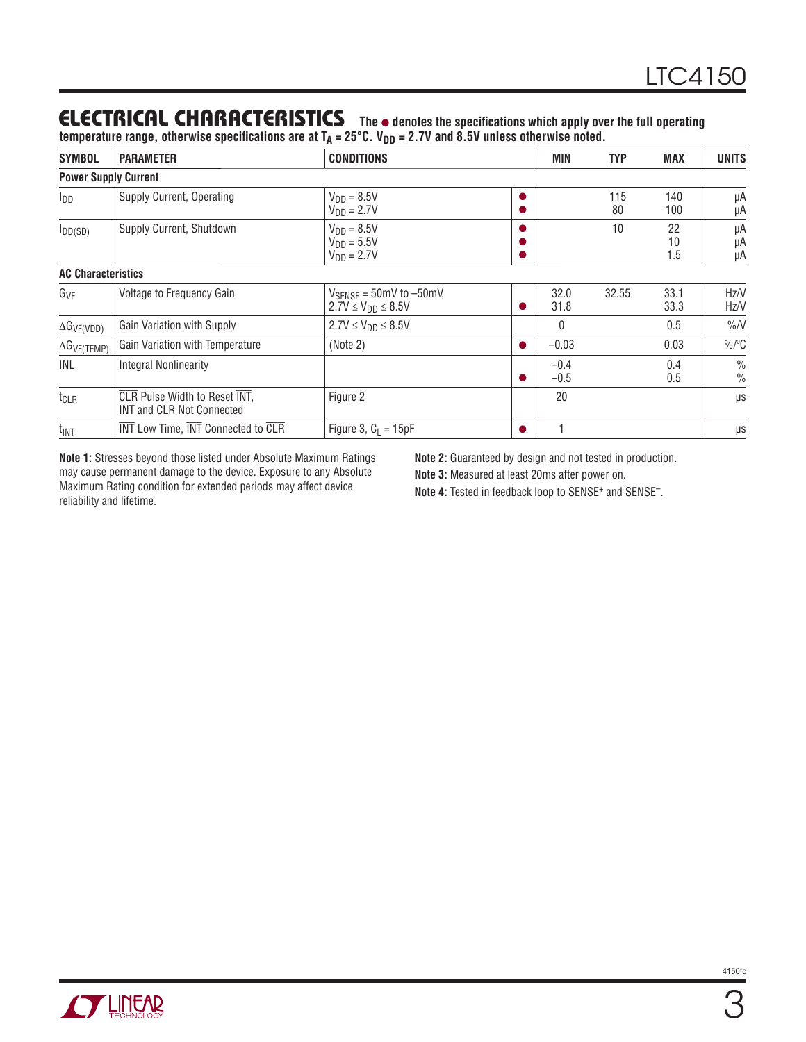### **ELECTRICAL CHARACTERISTICS** The  $\bullet$  denotes the specifications which apply over the full operating

temperature range, otherwise specifications are at T<sub>A</sub> = 25°C. V<sub>DD</sub> = 2.7V and 8.5V unless otherwise noted.

| <b>SYMBOL</b>               | <b>PARAMETER</b>                                                  | <b>CONDITIONS</b>                                                                    |  | <b>MIN</b>       | <b>TYP</b> | <b>MAX</b>      | <b>UNITS</b>                   |
|-----------------------------|-------------------------------------------------------------------|--------------------------------------------------------------------------------------|--|------------------|------------|-----------------|--------------------------------|
| <b>Power Supply Current</b> |                                                                   |                                                                                      |  |                  |            |                 |                                |
| $I_{DD}$                    | Supply Current, Operating                                         | $V_{DD} = 8.5V$<br>$VDD = 2.7V$                                                      |  |                  | 115<br>80  | 140<br>100      | μA<br>μA                       |
| $I_{DD(SD)}$                | Supply Current, Shutdown                                          | $V_{DD} = 8.5V$<br>$V_{DD} = 5.5V$<br>$V_{DD} = 2.7V$                                |  |                  | 10         | 22<br>10<br>1.5 | μA<br>μA<br>μA                 |
| <b>AC Characteristics</b>   |                                                                   |                                                                                      |  |                  |            |                 |                                |
| G <sub>VF</sub>             | Voltage to Frequency Gain                                         | $V_{\text{SENSE}} = 50 \text{mV}$ to $-50 \text{mV}$ ,<br>$2.7V \le V_{DD} \le 8.5V$ |  | 32.0<br>31.8     | 32.55      | 33.1<br>33.3    | Hz/V<br>Hz/V                   |
| $\Delta G_{VF(VDD)}$        | Gain Variation with Supply                                        | $2.7V \le V_{DD} \le 8.5V$                                                           |  | 0                |            | 0.5             | $\%N$                          |
| $\Delta G_{VF(TEMP)}$       | Gain Variation with Temperature                                   | (Note 2)                                                                             |  | $-0.03$          |            | 0.03            | $\frac{0}{0}$ <sup>o</sup> C   |
| INL                         | <b>Integral Nonlinearity</b>                                      |                                                                                      |  | $-0.4$<br>$-0.5$ |            | 0.4<br>0.5      | $\frac{0}{0}$<br>$\frac{0}{0}$ |
| $t_{\text{CLR}}$            | <b>CLR</b> Pulse Width to Reset INT,<br>INT and CLR Not Connected | Figure 2                                                                             |  | 20               |            |                 | μs                             |
| $t_{INT}$                   | <b>INT</b> Low Time, <b>INT</b> Connected to CLR                  | Figure 3, $C_1 = 15pF$                                                               |  |                  |            |                 | μs                             |

**Note 1:** Stresses beyond those listed under Absolute Maximum Ratings may cause permanent damage to the device. Exposure to any Absolute Maximum Rating condition for extended periods may affect device reliability and lifetime.

**Note 2:** Guaranteed by design and not tested in production.

**Note 3:** Measured at least 20ms after power on.

Note 4: Tested in feedback loop to SENSE<sup>+</sup> and SENSE<sup>-</sup>.

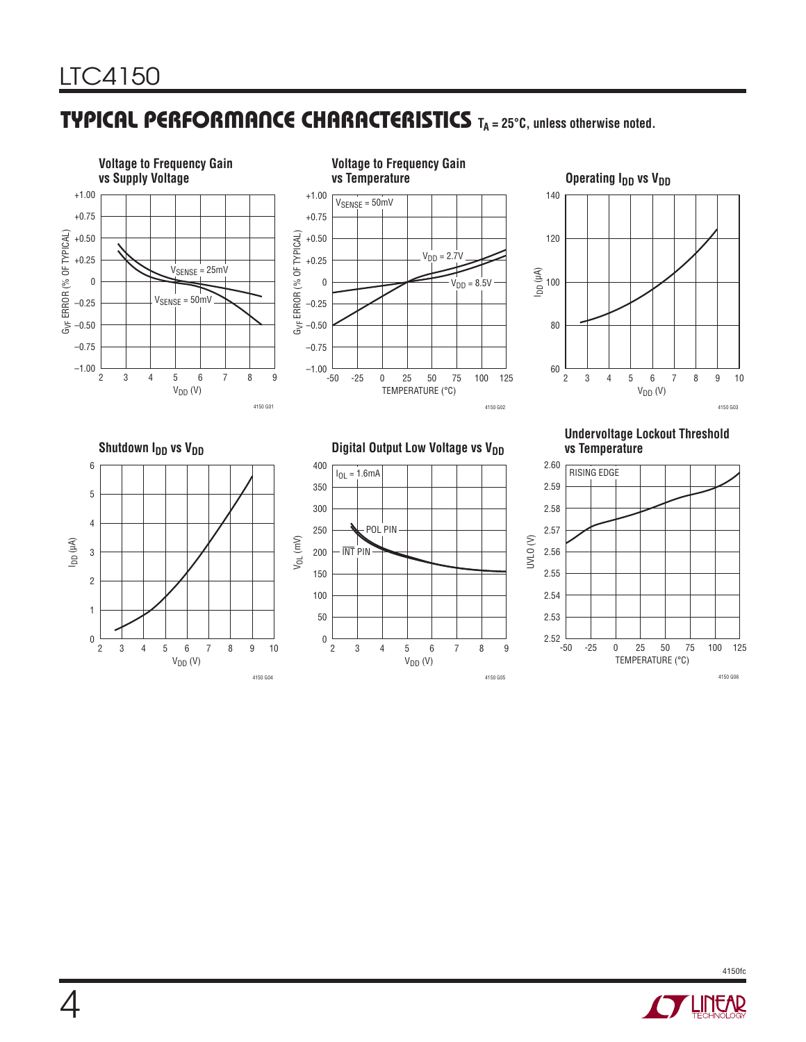## **TYPICAL PERFORMANCE CHARACTERISTICS** T<sub>A</sub> = 25°C, unless otherwise noted.



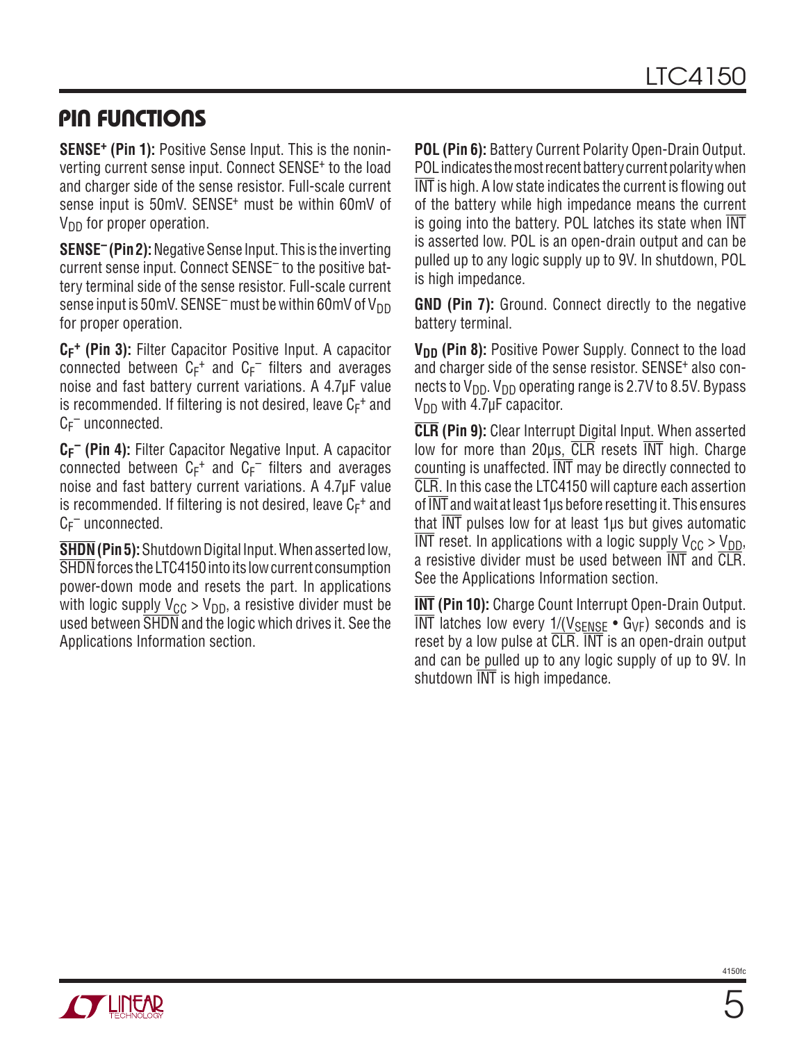### **PIN FUNCTIONS**

**SENSE+ (Pin 1):** Positive Sense Input. This is the noninverting current sense input. Connect SENSE+ to the load and charger side of the sense resistor. Full-scale current sense input is 50mV. SENSE<sup>+</sup> must be within 60mV of  $V_{DD}$  for proper operation.

**SENSE– (Pin 2):** Negative Sense Input. This is the inverting current sense input. Connect SENSE– to the positive battery terminal side of the sense resistor. Full-scale current sense input is 50mV. SENSE<sup>-</sup> must be within 60mV of  $V_{DD}$ for proper operation.

**CF + (Pin 3):** Filter Capacitor Positive Input. A capacitor connected between  $C_F^+$  and  $C_F^-$  filters and averages noise and fast battery current variations. A 4.7μF value is recommended. If filtering is not desired, leave  $C_F^+$  and  $C_F^-$  unconnected.

**CF – (Pin 4):** Filter Capacitor Negative Input. A capacitor connected between  $C_F^+$  and  $C_F^-$  filters and averages noise and fast battery current variations. A 4.7μF value is recommended. If filtering is not desired, leave  $C_F^+$  and  $C_F^-$  unconnected.

**SHDN (Pin 5):** Shutdown Digital Input. When asserted low, SHDN forces the LTC4150 into its low current consumption power-down mode and resets the part. In applications with logic supply  $V_{CC} > V_{DD}$ , a resistive divider must be used between SHDN and the logic which drives it. See the Applications Information section.

**POL (Pin 6):** Battery Current Polarity Open-Drain Output. POL indicates the most recent battery current polarity when  $\overline{\text{INT}}$  is high. A low state indicates the current is flowing out of the battery while high impedance means the current is going into the battery. POL latches its state when INT is asserted low. POL is an open-drain output and can be pulled up to any logic supply up to 9V. In shutdown, POL is high impedance.

**GND (Pin 7):** Ground. Connect directly to the negative battery terminal.

**V<sub>DD</sub>** (Pin 8): Positive Power Supply. Connect to the load and charger side of the sense resistor. SENSE+ also connects to  $V_{DD}$ .  $V_{DD}$  operating range is 2.7V to 8.5V. Bypass  $V_{DD}$  with 4.7μF capacitor.

**CLR (Pin 9):** Clear Interrupt Digital Input. When asserted low for more than 20μs, CLR resets INT high. Charge counting is unaffected. INT may be directly connected to CLR. In this case the LTC4150 will capture each assertion of INT and wait at least 1µs before resetting it. This ensures that INT pulses low for at least 1μs but gives automatic INT reset. In applications with a logic supply  $V_{CC} > V_{DD}$ , a resistive divider must be used between INT and CLR. See the Applications Information section.

**INT (Pin 10):** Charge Count Interrupt Open-Drain Output.  $\overline{\text{INT}}$  latches low every 1/(V<sub>SENSE</sub> • G<sub>VF</sub>) seconds and is reset by a low pulse at CLR. INT is an open-drain output and can be pulled up to any logic supply of up to 9V. In shutdown INT is high impedance.

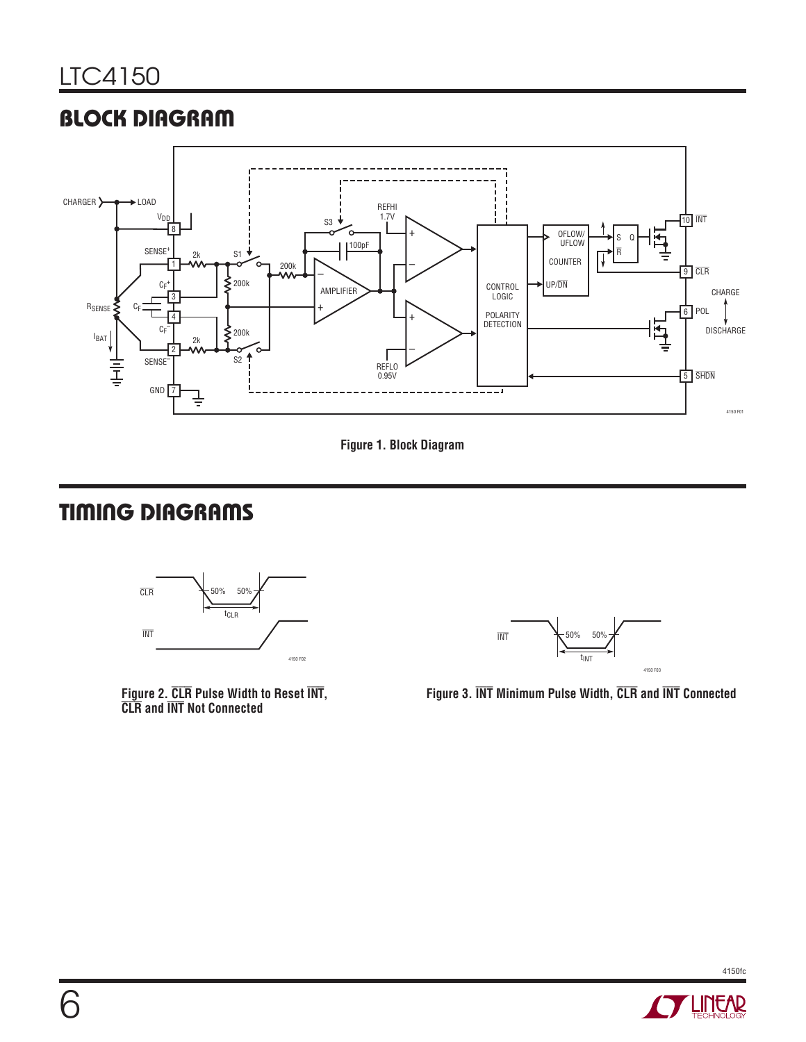## **BLOCK DIAGRAM**





# **TIMING DIAGRAMS**



**Figure 2. CLR Pulse Width to Reset INT, CLR and INT Not Connected**



**Figure 3. INT Minimum Pulse Width, CLR and INT Connected**

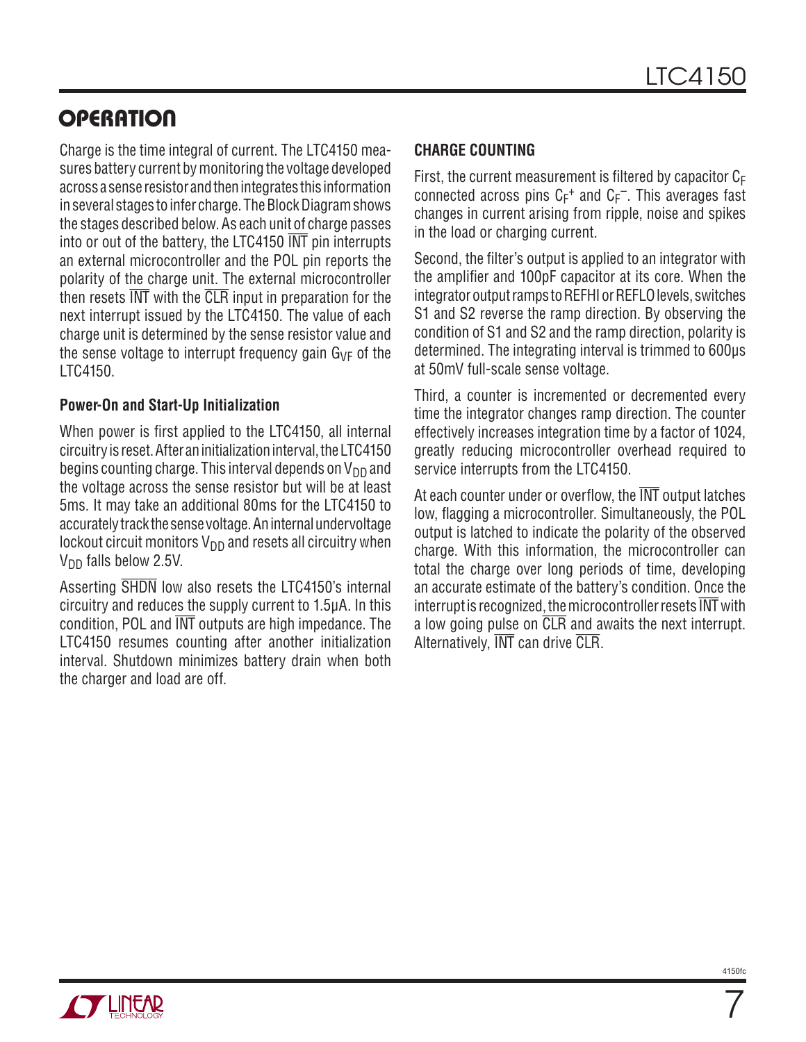## **OPERATION**

Charge is the time integral of current. The LTC4150 measures battery current by monitoring the voltage developed across a sense resistor and then integrates this information in several stages to infer charge. The Block Diagram shows the stages described below. As each unit of charge passes into or out of the battery, the LTC4150 INT pin interrupts an external microcontroller and the POL pin reports the polarity of the charge unit. The external microcontroller then resets  $\overline{\text{INT}}$  with the  $\overline{\text{CLR}}$  input in preparation for the next interrupt issued by the LTC4150. The value of each charge unit is determined by the sense resistor value and the sense voltage to interrupt frequency gain  $G_{VF}$  of the LTC4150.

#### **Power-On and Start-Up Initialization**

When power is first applied to the LTC4150, all internal circuitry is reset. After an initialization interval, the LTC4150 begins counting charge. This interval depends on  $V_{DD}$  and the voltage across the sense resistor but will be at least 5ms. It may take an additional 80ms for the LTC4150 to accurately track the sense voltage. An internal undervoltage lockout circuit monitors  $V_{DD}$  and resets all circuitry when  $V<sub>DD</sub>$  falls below 2.5V.

Asserting SHDN low also resets the LTC4150's internal circuitry and reduces the supply current to 1.5μA. In this condition, POL and INT outputs are high impedance. The LTC4150 resumes counting after another initialization interval. Shutdown minimizes battery drain when both the charger and load are off.

#### **CHARGE COUNTING**

First, the current measurement is filtered by capacitor  $C_F$ connected across pins  $C_F^+$  and  $C_F^-$ . This averages fast changes in current arising from ripple, noise and spikes in the load or charging current.

Second, the filter's output is applied to an integrator with the amplifier and 100pF capacitor at its core. When the integrator output ramps to REFHI or REFLO levels, switches S1 and S2 reverse the ramp direction. By observing the condition of S1 and S2 and the ramp direction, polarity is determined. The integrating interval is trimmed to 600μs at 50mV full-scale sense voltage.

Third, a counter is incremented or decremented every time the integrator changes ramp direction. The counter effectively increases integration time by a factor of 1024, greatly reducing microcontroller overhead required to service interrupts from the LTC4150.

At each counter under or overflow, the  $\overline{\text{INT}}$  output latches low, flagging a microcontroller. Simultaneously, the POL output is latched to indicate the polarity of the observed charge. With this information, the microcontroller can total the charge over long periods of time, developing an accurate estimate of the battery's condition. Once the interrupt is recognized, the microcontroller resets INT with a low going pulse on CLR and awaits the next interrupt. Alternatively, INT can drive CLR.

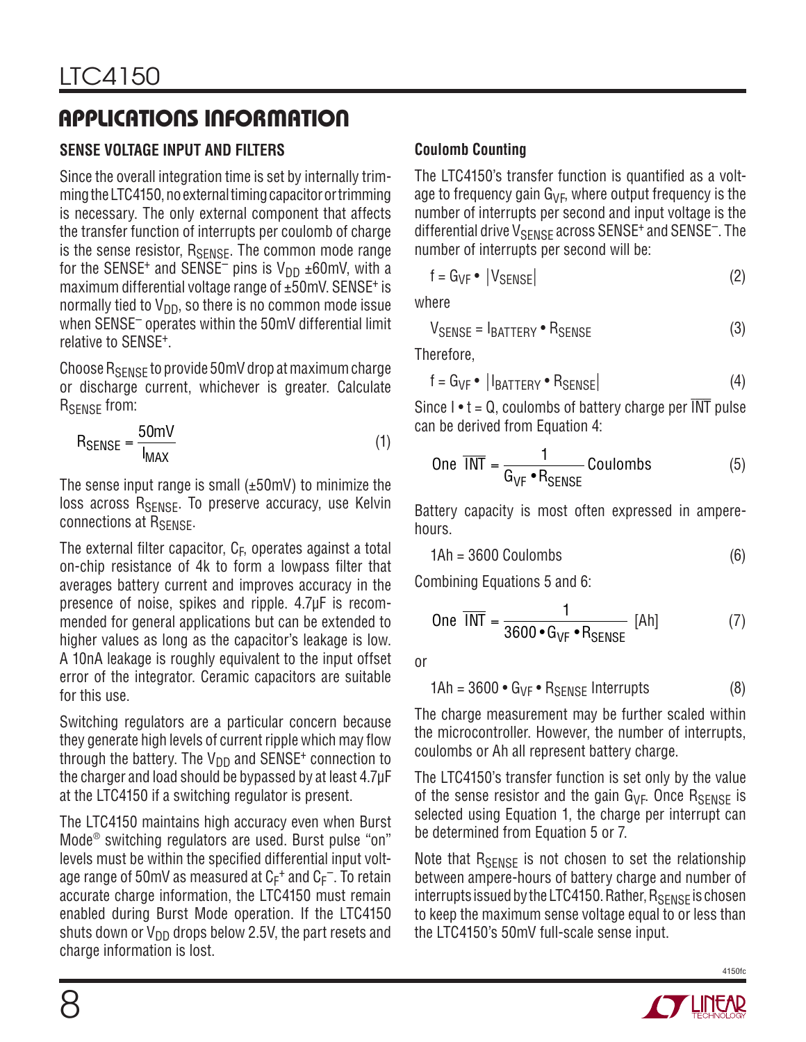#### **SENSE VOLTAGE INPUT AND FILTERS**

Since the overall integration time is set by internally trimming the LTC4150, no external timing capacitor or trimming is necessary. The only external component that affects the transfer function of interrupts per coulomb of charge is the sense resistor, R<sub>SENSE</sub>. The common mode range for the SENSE<sup>+</sup> and SENSE<sup>-</sup> pins is  $V_{DD} \pm 60$  mV, with a maximum differential voltage range of ±50mV. SENSE<sup>+</sup> is normally tied to  $V_{DD}$ , so there is no common mode issue when SENSE– operates within the 50mV differential limit relative to SENSE+.

Choose RSENSE to provide 50mV drop at maximum charge or discharge current, whichever is greater. Calculate R<sub>SENSE</sub> from:

$$
R_{\text{SENSE}} = \frac{50 \text{mV}}{I_{\text{MAX}}}
$$
 (1)

The sense input range is small  $(\pm 50 \text{mV})$  to minimize the loss across R<sub>SENSE</sub>. To preserve accuracy, use Kelvin connections at R<sub>SENSE</sub>.

The external filter capacitor,  $C_F$ , operates against a total on-chip resistance of 4k to form a lowpass filter that averages battery current and improves accuracy in the presence of noise, spikes and ripple. 4.7μF is recommended for general applications but can be extended to higher values as long as the capacitor's leakage is low. A 10nA leakage is roughly equivalent to the input offset error of the integrator. Ceramic capacitors are suitable for this use.

Switching regulators are a particular concern because they generate high levels of current ripple which may flow through the battery. The  $V_{DD}$  and SENSE<sup>+</sup> connection to the charger and load should be bypassed by at least 4.7μF at the LTC4150 if a switching regulator is present.

The LTC4150 maintains high accuracy even when Burst Mode® switching regulators are used. Burst pulse "on" levels must be within the specified differential input voltage range of 50mV as measured at  $C_F^+$  and  $C_F^-$ . To retain accurate charge information, the LTC4150 must remain enabled during Burst Mode operation. If the LTC4150 shuts down or  $V_{DD}$  drops below 2.5V, the part resets and charge information is lost.

#### **Coulomb Counting**

The LTC4150's transfer function is quantified as a voltage to frequency gain  $G_{VF}$ , where output frequency is the number of interrupts per second and input voltage is the differential drive  $V_{\text{SENSE}}$  across SENSE<sup>+</sup> and SENSE<sup>-</sup>. The number of interrupts per second will be:

$$
f = G_{VF} \bullet |V_{SENSE}| \tag{2}
$$

where

$$
V_{\text{SENSE}} = I_{\text{BATTERY}} \bullet R_{\text{SENSE}} \tag{3}
$$

Therefore,

$$
f = G_{VF} \bullet |I_{BATTERY} \bullet R_{SENSE}| \tag{4}
$$

Since  $I \cdot t = Q$ , coulombs of battery charge per  $\overline{INT}$  pulse can be derived from Equation 4:

One 
$$
\overline{INT} = \frac{1}{G_{VF} \cdot R_{SENSE}}
$$
 Coulombs (5)

Battery capacity is most often expressed in amperehours.

$$
1Ah = 3600 \text{ Coulombs} \tag{6}
$$

Combining Equations 5 and 6:

One 
$$
\overline{INT} = \frac{1}{3600 \cdot G_{VF} \cdot R_{SENSE}}
$$
 [Ah] (7)

or

$$
1Ah = 3600 \cdot G_{VF} \cdot R_{SENSE} \text{ Internups} \tag{8}
$$

The charge measurement may be further scaled within the microcontroller. However, the number of interrupts, coulombs or Ah all represent battery charge.

The LTC4150's transfer function is set only by the value of the sense resistor and the gain  $G_{VF}$ . Once  $R_{SFNSF}$  is selected using Equation 1, the charge per interrupt can be determined from Equation 5 or 7.

Note that  $R_{\text{SENSE}}$  is not chosen to set the relationship between ampere-hours of battery charge and number of interrupts issued by the LTC4150. Rather,  $R_{\text{SENSE}}$  is chosen to keep the maximum sense voltage equal to or less than the LTC4150's 50mV full-scale sense input.

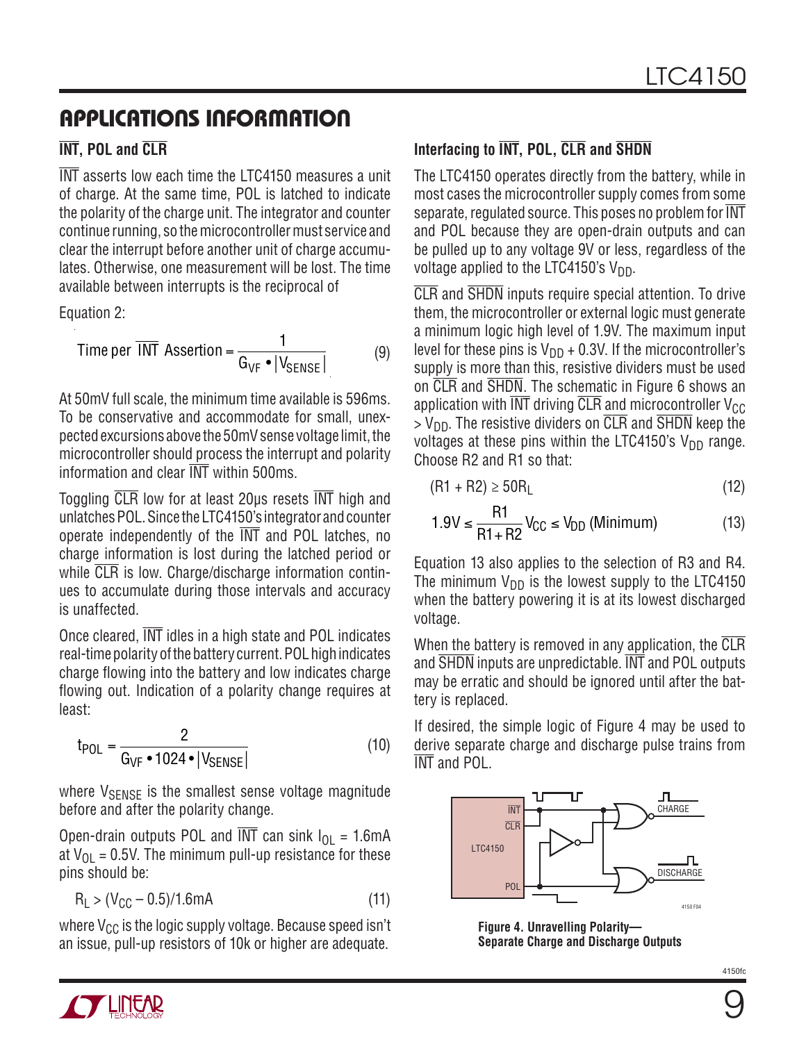#### **INT, POL and CLR**

INT asserts low each time the LTC4150 measures a unit of charge. At the same time, POL is latched to indicate the polarity of the charge unit. The integrator and counter continue running, so the microcontroller must service and clear the interrupt before another unit of charge accumulates. Otherwise, one measurement will be lost. The time available between interrupts is the reciprocal of

Equation 2:

Time per 
$$
\overline{\text{INT}}
$$
 Association =  $\frac{1}{G_{\text{VF}} \cdot |V_{\text{SENSE}}|}$  (9)

At 50mV full scale, the minimum time available is 596ms. To be conservative and accommodate for small, unexpected excursions above the 50mV sense voltage limit, the microcontroller should process the interrupt and polarity information and clear INT within 500ms.

Toggling CLR low for at least 20μs resets INT high and unlatches POL. Since the LTC4150's integrator and counter operate independently of the INT and POL latches. no charge information is lost during the latched period or while CLR is low. Charge/discharge information continues to accumulate during those intervals and accuracy is unaffected.

Once cleared, INT idles in a high state and POL indicates real-time polarity of the battery current. POL high indicates charge flowing into the battery and low indicates charge flowing out. Indication of a polarity change requires at least:

$$
t_{POL} = \frac{2}{G_{VF} \cdot 1024 \cdot |V_{SENSE}|}
$$
(10)

where  $V_{\text{SENSE}}$  is the smallest sense voltage magnitude before and after the polarity change.

Open-drain outputs POL and  $\overline{\text{INT}}$  can sink  $I_{OL} = 1.6 \text{mA}$ at  $V_{\text{O}}$  = 0.5V. The minimum pull-up resistance for these pins should be:

$$
R_{L} > (V_{CC} - 0.5)/1.6mA
$$
 (11)

where  $V_{CC}$  is the logic supply voltage. Because speed isn't an issue, pull-up resistors of 10k or higher are adequate.

#### **Interfacing to INT, POL, CLR and SHDN**

The LTC4150 operates directly from the battery, while in most cases the microcontroller supply comes from some separate, regulated source. This poses no problem for  $\overline{\text{INT}}$ and POL because they are open-drain outputs and can be pulled up to any voltage 9V or less, regardless of the voltage applied to the LTC4150's  $V_{DD}$ .

CLR and SHDN inputs require special attention. To drive them, the microcontroller or external logic must generate a minimum logic high level of 1.9V. The maximum input level for these pins is  $V_{DD}$  + 0.3V. If the microcontroller's supply is more than this, resistive dividers must be used on CLR and SHDN. The schematic in Figure 6 shows an application with  $\overline{\text{INT}}$  driving  $\overline{\text{CLR}}$  and microcontroller  $\text{V}_{\text{GC}}$  $>$  V<sub>DD</sub>. The resistive dividers on  $\overline{CLR}$  and  $\overline{SHDN}$  keep the voltages at these pins within the LTC4150's  $V_{DD}$  range. Choose R2 and R1 so that:

$$
(R1 + R2) \ge 50R_L \tag{12}
$$

$$
1.9V \le \frac{R1}{R1 + R2}V_{CC} \le V_{DD} \text{ (Minimum)}\tag{13}
$$

Equation 13 also applies to the selection of R3 and R4. The minimum  $V_{DD}$  is the lowest supply to the LTC4150 when the battery powering it is at its lowest discharged voltage.

When the battery is removed in any application, the CLR and SHDN inputs are unpredictable. INT and POL outputs may be erratic and should be ignored until after the battery is replaced.

If desired, the simple logic of Figure 4 may be used to derive separate charge and discharge pulse trains from INT and POL.



**Figure 4. Unravelling Polarity— Separate Charge and Discharge Outputs**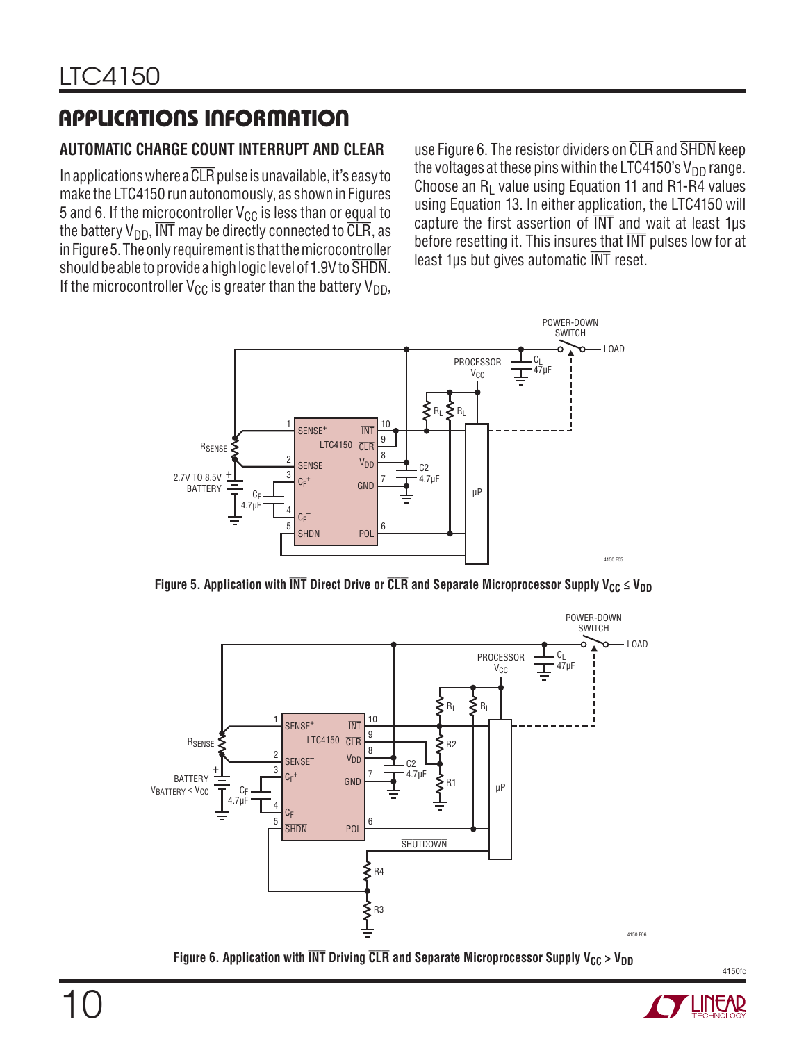#### **AUTOMATIC CHARGE COUNT INTERRUPT AND CLEAR**

In applications where a  $\overline{\text{CLR}}$  pulse is unavailable, it's easy to make the LTC4150 run autonomously, as shown in Figures 5 and 6. If the microcontroller  $V_{CC}$  is less than or equal to the battery  $V_{DD}$ ,  $\overline{INT}$  may be directly connected to  $\overline{CLR}$ , as in Figure 5. The only requirement is that the microcontroller should be able to provide a high logic level of 1.9V to SHDN. If the microcontroller  $V_{CC}$  is greater than the battery  $V_{DD}$ ,

use Figure 6. The resistor dividers on CLR and SHDN keep the voltages at these pins within the LTC4150's  $V_{DD}$  range. Choose an  $R_1$  value using Equation 11 and R1-R4 values using Equation 13. In either application, the LTC4150 will capture the first assertion of  $\overline{\text{INT}}$  and wait at least 1µs before resetting it. This insures that INT pulses low for at least 1μs but gives automatic INT reset.



**Figure 5. Application with**  $\overline{\text{INT}}$  **Direct Drive or**  $\overline{\text{CLR}}$  **and Separate Microprocessor Supply V<sub>CC</sub> ≤ V<sub>DD</sub>** 



**Figure 6. Application with**  $\overline{\text{INT}}$  **Driving**  $\overline{\text{CLR}}$  **and Separate Microprocessor Supply V<sub>CC</sub> > V<sub>DD</sub>** 

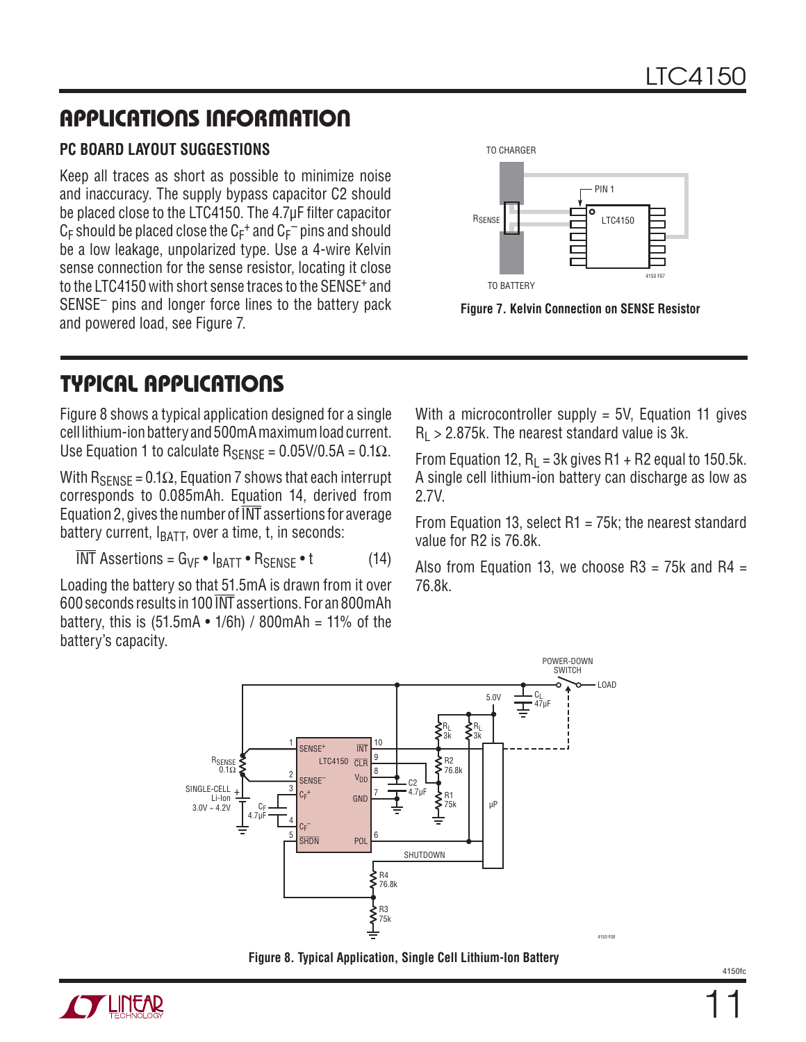#### **PC BOARD LAYOUT SUGGESTIONS**

Keep all traces as short as possible to minimize noise and inaccuracy. The supply bypass capacitor C2 should be placed close to the LTC4150. The 4.7<sub>u</sub>F filter capacitor  $\mathsf{C}_{\mathsf{F}}$  should be placed close the  $\mathsf{C}_{\mathsf{F}}^+$  and  $\mathsf{C}_{\mathsf{F}}^-$  pins and should be a low leakage, unpolarized type. Use a 4-wire Kelvin sense connection for the sense resistor, locating it close to the LTC4150 with short sense traces to the SENSE+ and SENSE– pins and longer force lines to the battery pack and powered load, see Figure 7.



**Figure 7. Kelvin Connection on SENSE Resistor**

## **TYPICAL APPLICATIONS**

Figure 8 shows a typical application designed for a single cell lithium-ion battery and 500mA maximum load current. Use Equation 1 to calculate  $R_{\text{SFNSF}} = 0.05 \text{V}/0.5 \text{A} = 0.1 \Omega$ .

With  $R_{\text{SENSE}} = 0.1\Omega$ , Equation 7 shows that each interrupt corresponds to 0.085mAh. Equation 14, derived from Equation 2, gives the number of INT assertions for average battery current,  $I_{BATT}$ , over a time, t, in seconds:

$$
\overline{\text{INT}} \text{ Assessment} = G_{\text{VF}} \cdot I_{\text{BAT}} \cdot R_{\text{SENSE}} \cdot t \tag{14}
$$

Loading the battery so that 51.5mA is drawn from it over 600 seconds results in 100 INT assertions. For an 800mAh battery, this is  $(51.5mA \cdot 1/6h) / 800mAh = 11%$  of the battery's capacity.

With a microcontroller supply = 5V, Equation 11 gives  $R_1 > 2.875k$ . The nearest standard value is 3k.

From Equation 12,  $R_1 = 3k$  gives R1 + R2 equal to 150.5k. A single cell lithium-ion battery can discharge as low as 2.7V.

From Equation 13, select R1 = 75k; the nearest standard value for R2 is 76.8k.

Also from Equation 13, we choose  $R3 = 75k$  and  $R4 =$ 76.8k.





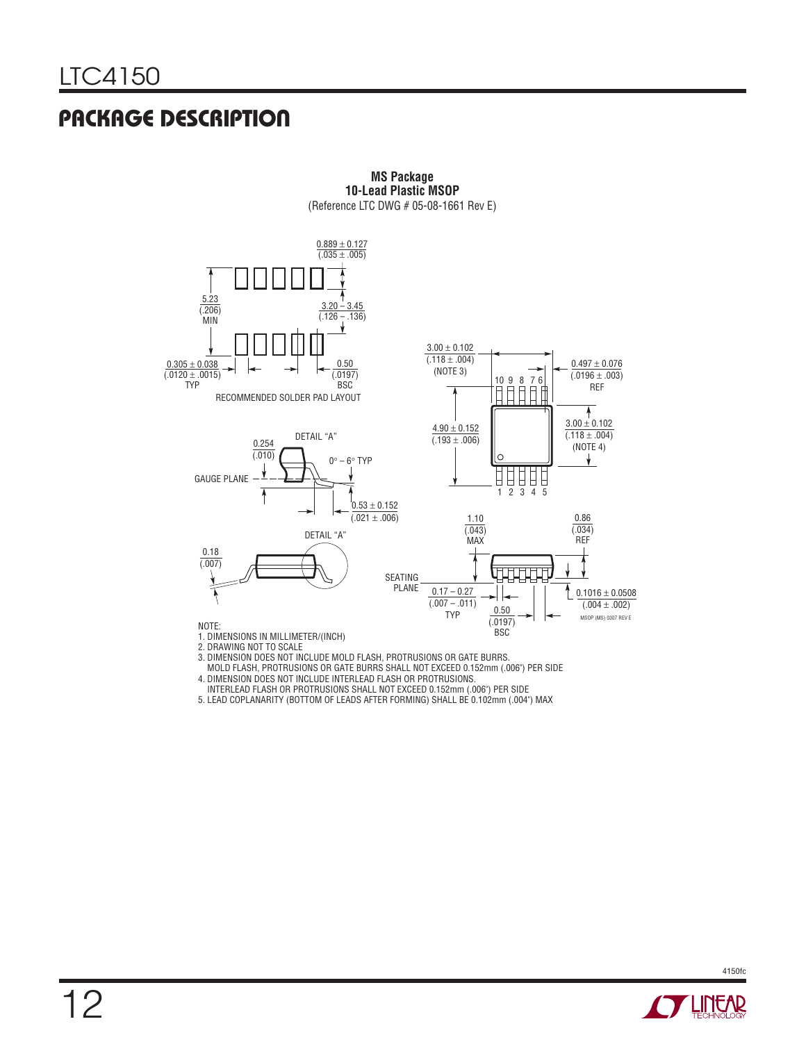## **PACKAGE DESCRIPTION**



**MS Package 10-Lead Plastic MSOP** (Reference LTC DWG # 05-08-1661 Rev E)

MOLD FLASH, PROTRUSIONS OR GATE BURRS SHALL NOT EXCEED 0.152mm (.006") PER SIDE

4. DIMENSION DOES NOT INCLUDE INTERLEAD FLASH OR PROTRUSIONS. INTERLEAD FLASH OR PROTRUSIONS SHALL NOT EXCEED 0.152mm (.006") PER SIDE

5. LEAD COPLANARITY (BOTTOM OF LEADS AFTER FORMING) SHALL BE 0.102mm (.004") MAX

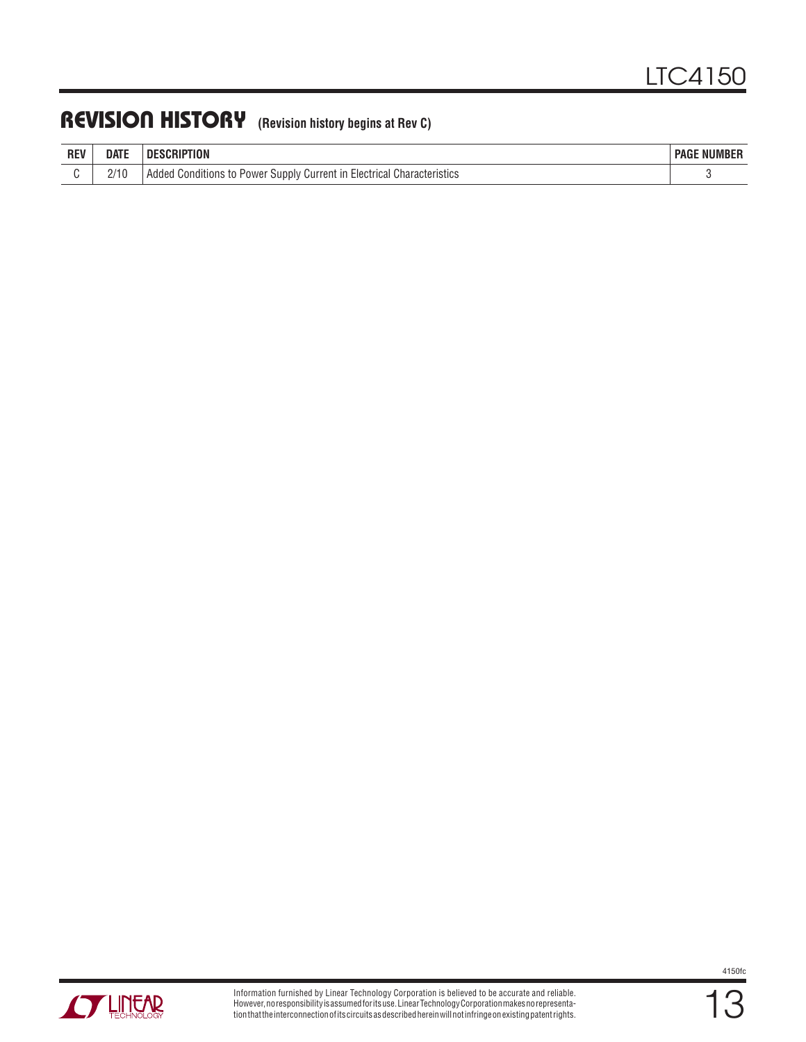## **REVISION HISTORY (Revision history begins at Rev C)**

| <b>REV</b> | <b>DATE</b> | `RIPTION                                                                            | <b>NUMBER</b><br><b>PAGE</b> |
|------------|-------------|-------------------------------------------------------------------------------------|------------------------------|
|            | 1 U<br>–′   | Electrical Characteristics<br>s to Power Supply Current in .<br>Conditions<br>Added |                              |